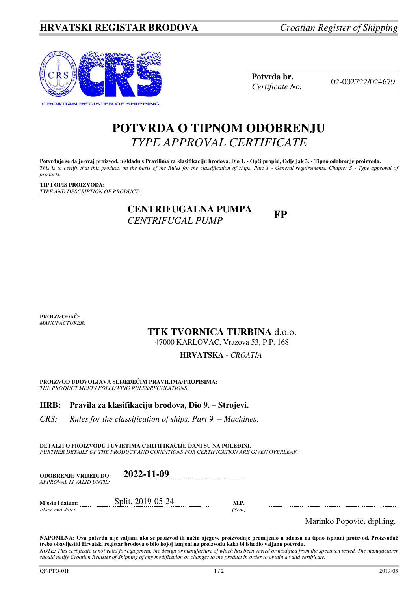

**Potvrda br.** 02-002722/024679 *Certificate No.* 

# **POTVRDA O TIPNOM ODOBRENJU**  *TYPE APPROVAL CERTIFICATE*

**Potvrđuje se da je ovaj proizvod, u skladu s Pravilima za klasifikaciju brodova, Dio 1. - Opći propisi, Odjeljak 3. - Tipno odobrenje proizvoda.**  *This is to certify that this product, on the basis of the Rules for the classification of ships, Part 1 - General requirements, Chapter 3 - Type approval of products.* 

**TIP I OPIS PROIZVODA:** *TYPE AND DESCRIPTION OF PRODUCT:* 

## **CENTRIFUGALNA PUMPA CENTRIFUGALINA I UNITALLY FP**

**PROIZVOĐAČ:** *MANUFACTURER:*

## **TTK TVORNICA TURBINA** d.o.o.

47000 KARLOVAC, Vrazova 53, P.P. 168

## **HRVATSKA** *- CROATIA*

**PROIZVOD UDOVOLJAVA SLIJEDEĆIM PRAVILIMA/PROPISIMA:** *THE PRODUCT MEETS FOLLOWING RULES/REGULATIONS:* 

## **HRB: Pravila za klasifikaciju brodova, Dio 9. – Strojevi.**

*CRS: Rules for the classification of ships, Part 9. – Machines.* 

**DETALJI O PROIZVODU I UVJETIMA CERTIFIKACIJE DANI SU NA POLEĐINI.** *FURTHER DETAILS OF THE PRODUCT AND CONDITIONS FOR CERTIFICATION ARE GIVEN OVERLEAF.* 

| <b>ODOBRENJE VRLJEDI DO:</b><br>APPROVAL IS VALID UNTIL: | 2022-11-09        |                |  |
|----------------------------------------------------------|-------------------|----------------|--|
| Mjesto i datum:<br>Place and date:                       | Split, 2019-05-24 | M.P.<br>(Seal) |  |

Marinko Popović, dipl.ing.

**NAPOMENA: Ova potvrda nije valjana ako se proizvod ili način njegove proizvodnje promijenio u odnosu na tipno ispitani proizvod. Proizvođač treba obavijestiti Hrvatski registar brodova o bilo kojoj izmjeni na proizvodu kako bi ishodio valjanu potvrdu.**  *NOTE: This certificate is not valid for equipment, the design or manufacture of which has been varied or modified from the specimen tested. The manufacturer* 

*should notify Croatian Register of Shipping of any modification or changes to the product in order to obtain a valid certificate.*